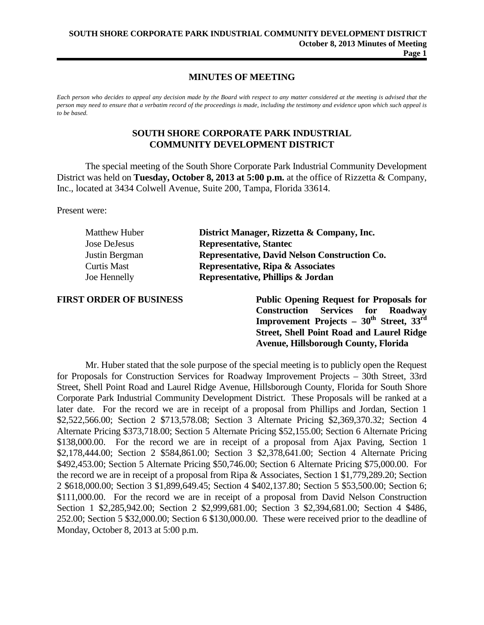## **MINUTES OF MEETING**

*Each person who decides to appeal any decision made by the Board with respect to any matter considered at the meeting is advised that the person may need to ensure that a verbatim record of the proceedings is made, including the testimony and evidence upon which such appeal is to be based.*

## **SOUTH SHORE CORPORATE PARK INDUSTRIAL COMMUNITY DEVELOPMENT DISTRICT**

The special meeting of the South Shore Corporate Park Industrial Community Development District was held on **Tuesday, October 8, 2013 at 5:00 p.m.** at the office of Rizzetta & Company, Inc., located at 3434 Colwell Avenue, Suite 200, Tampa, Florida 33614.

Present were:

| <b>Matthew Huber</b> | District Manager, Rizzetta & Company, Inc.    |
|----------------------|-----------------------------------------------|
| Jose DeJesus         | <b>Representative, Stantec</b>                |
| Justin Bergman       | Representative, David Nelson Construction Co. |
| Curtis Mast          | Representative, Ripa & Associates             |
| Joe Hennelly         | Representative, Phillips & Jordan             |

**FIRST ORDER OF BUSINESS Public Opening Request for Proposals for Construction Services for Roadway Improvement Projects – 30th Street, 33rd Street, Shell Point Road and Laurel Ridge Avenue, Hillsborough County, Florida**

Mr. Huber stated that the sole purpose of the special meeting is to publicly open the Request for Proposals for Construction Services for Roadway Improvement Projects – 30th Street, 33rd Street, Shell Point Road and Laurel Ridge Avenue, Hillsborough County, Florida for South Shore Corporate Park Industrial Community Development District. These Proposals will be ranked at a later date. For the record we are in receipt of a proposal from Phillips and Jordan, Section 1 \$2,522,566.00; Section 2 \$713,578.08; Section 3 Alternate Pricing \$2,369,370.32; Section 4 Alternate Pricing \$373,718.00; Section 5 Alternate Pricing \$52,155.00; Section 6 Alternate Pricing \$138,000.00. For the record we are in receipt of a proposal from Ajax Paving, Section 1 \$2,178,444.00; Section 2 \$584,861.00; Section 3 \$2,378,641.00; Section 4 Alternate Pricing \$492,453.00; Section 5 Alternate Pricing \$50,746.00; Section 6 Alternate Pricing \$75,000.00. For the record we are in receipt of a proposal from Ripa & Associates, Section 1 \$1,779,289.20; Section 2 \$618,000.00; Section 3 \$1,899,649.45; Section 4 \$402,137.80; Section 5 \$53,500.00; Section 6; \$111,000.00. For the record we are in receipt of a proposal from David Nelson Construction Section 1 \$2,285,942.00; Section 2 \$2,999,681.00; Section 3 \$2,394,681.00; Section 4 \$486, 252.00; Section 5 \$32,000.00; Section 6 \$130,000.00. These were received prior to the deadline of Monday, October 8, 2013 at 5:00 p.m.